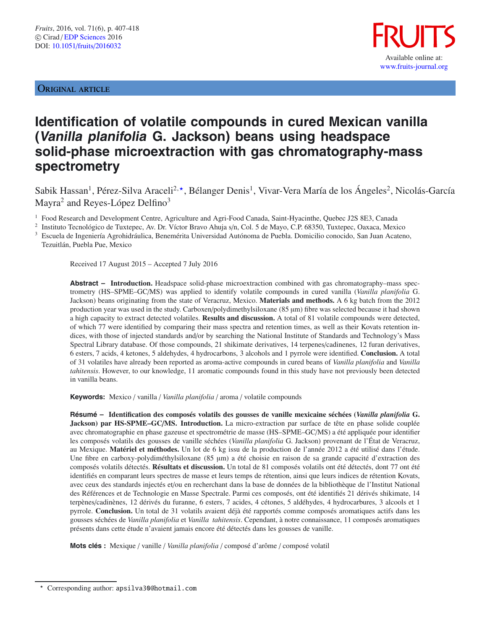ORIGINAL ARTICLE



# **Identification of volatile compounds in cured Mexican vanilla (Vanilla planifolia G. Jackson) beans using headspace solid-phase microextraction with gas chromatography-mass spectrometry**

Sabik Hassan<sup>1</sup>, Pérez-Silva Araceli<sup>2,</sup>\*, Bélanger Denis<sup>1</sup>, Vivar-Vera María de los Ángeles<sup>2</sup>, Nicolás-García Mayra<sup>2</sup> and Reyes-López Delfino<sup>3</sup>

<sup>1</sup> Food Research and Development Centre, Agriculture and Agri-Food Canada, Saint-Hyacinthe, Quebec J2S 8E3, Canada

<sup>2</sup> Instituto Tecnológico de Tuxtepec, Av. Dr. Víctor Bravo Ahuja s/n, Col. 5 de Mayo, C.P. 68350, Tuxtepec, Oaxaca, Mexico <sup>3</sup> Escuela de Ingeniería Agrohidráulica, Benemérita Universidad Autónoma de Puebla. Domicilio conocido, San Juan Acateno,

Tezuitlán, Puebla Pue, Mexico

Received 17 August 2015 – Accepted 7 July 2016

**Abstract – Introduction.** Headspace solid-phase microextraction combined with gas chromatography–mass spectrometry (HS–SPME–GC/MS) was applied to identify volatile compounds in cured vanilla (*Vanilla planifolia* G. Jackson) beans originating from the state of Veracruz, Mexico. **Materials and methods.** A 6 kg batch from the 2012 production year was used in the study. Carboxen/polydimethylsiloxane (85 µm) fibre was selected because it had shown a high capacity to extract detected volatiles. **Results and discussion.** A total of 81 volatile compounds were detected, of which 77 were identified by comparing their mass spectra and retention times, as well as their Kovats retention indices, with those of injected standards and/or by searching the National Institute of Standards and Technology's Mass Spectral Library database. Of those compounds, 21 shikimate derivatives, 14 terpenes/cadinenes, 12 furan derivatives, 6 esters, 7 acids, 4 ketones, 5 aldehydes, 4 hydrocarbons, 3 alcohols and 1 pyrrole were identified. **Conclusion.** A total of 31 volatiles have already been reported as aroma-active compounds in cured beans of *Vanilla planifolia* and *Vanilla tahitensis*. However, to our knowledge, 11 aromatic compounds found in this study have not previously been detected in vanilla beans.

**Keywords:** Mexico / vanilla / *Vanilla planifolia* / aroma / volatile compounds

**Résumé – Identification des composés volatils des gousses de vanille mexicaine séchées (***Vanilla planifolia* **G. Jackson) par HS-SPME–GC**/**MS. Introduction.** La micro-extraction par surface de tête en phase solide couplée avec chromatographie en phase gazeuse et spectrométrie de masse (HS–SPME–GC/MS) a été appliquée pour identifier les composés volatils des gousses de vanille séchées (*Vanilla planifolia* G. Jackson) provenant de l'État de Veracruz, au Mexique. **Matériel et méthodes.** Un lot de 6 kg issu de la production de l'année 2012 a été utilisé dans l'étude. Une fibre en carboxy-polydiméthylsiloxane (85 µm) a été choisie en raison de sa grande capacité d'extraction des composés volatils détectés. **Résultats et discussion.** Un total de 81 composés volatils ont été détectés, dont 77 ont été identifiés en comparant leurs spectres de masse et leurs temps de rétention, ainsi que leurs indices de rétention Kovats, avec ceux des standards injectés et/ou en recherchant dans la base de données de la bibliothèque de l'Institut National des Références et de Technologie en Masse Spectrale. Parmi ces composés, ont été identifiés 21 dérivés shikimate, 14 terpènes/cadinènes, 12 dérivés du furanne, 6 esters, 7 acides, 4 cétones, 5 aldéhydes, 4 hydrocarbures, 3 alcools et 1 pyrrole. **Conclusion.** Un total de 31 volatils avaient déjà été rapportés comme composés aromatiques actifs dans les gousses séchées de *Vanilla planifolia* et *Vanilla tahitensis*. Cependant, à notre connaissance, 11 composés aromatiques présents dans cette étude n'avaient jamais encore été détectés dans les gousses de vanille.

**Mots clés :** Mexique / vanille / *Vanilla planifolia* / composé d'arôme / composé volatil

Corresponding author: apsilva30@hotmail.com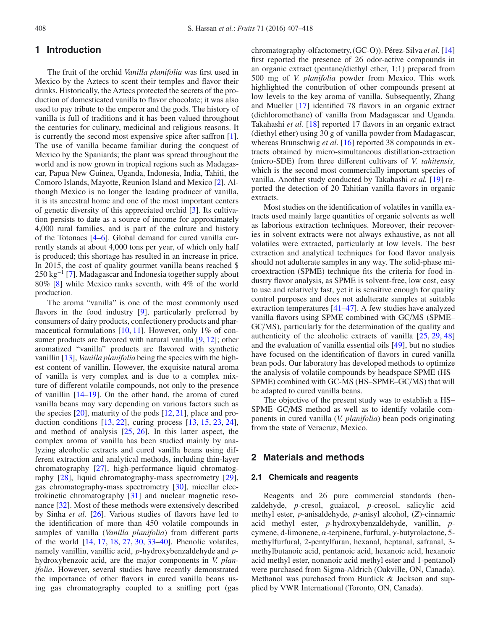# **1 Introduction**

The fruit of the orchid *Vanilla planifolia* was first used in Mexico by the Aztecs to scent their temples and flavor their drinks. Historically, the Aztecs protected the secrets of the production of domesticated vanilla to flavor chocolate; it was also used to pay tribute to the emperor and the gods. The history of vanilla is full of traditions and it has been valued throughout the centuries for culinary, medicinal and religious reasons. It is currently the second most expensive spice after saffron [\[1](#page-9-0)]. The use of vanilla became familiar during the conquest of Mexico by the Spaniards; the plant was spread throughout the world and is now grown in tropical regions such as Madagascar, Papua New Guinea, Uganda, Indonesia, India, Tahiti, the Comoro Islands, Mayotte, Reunion Island and Mexico [\[2\]](#page-9-1). Although Mexico is no longer the leading producer of vanilla, it is its ancestral home and one of the most important centers of genetic diversity of this appreciated orchid [\[3](#page-9-2)]. Its cultivation persists to date as a source of income for approximately 4,000 rural families, and is part of the culture and history of the Totonacs [\[4](#page-9-3)[–6\]](#page-9-4). Global demand for cured vanilla currently stands at about 4,000 tons per year, of which only half is produced; this shortage has resulted in an increase in price. In 2015, the cost of quality gourmet vanilla beans reached \$  $250 \text{ kg}^{-1}$  [\[7\]](#page-9-5). Madagascar and Indonesia together supply about 80% [\[8\]](#page-9-6) while Mexico ranks seventh, with 4% of the world production.

The aroma "vanilla" is one of the most commonly used flavors in the food industry [\[9\]](#page-9-7), particularly preferred by consumers of dairy products, confectionery products and pharmaceutical formulations [\[10](#page-9-8), [11\]](#page-9-9). However, only 1% of con-sumer products are flavored with natural vanilla [\[9,](#page-9-7) [12\]](#page-9-10); other aromatized "vanilla" products are flavored with synthetic vanillin [\[13\]](#page-9-11), *Vanilla planifolia* being the species with the highest content of vanillin. However, the exquisite natural aroma of vanilla is very complex and is due to a complex mixture of different volatile compounds, not only to the presence of vanillin [\[14](#page-9-12)[–19\]](#page-9-13). On the other hand, the aroma of cured vanilla beans may vary depending on various factors such as the species  $[20]$ , maturity of the pods  $[12, 21]$  $[12, 21]$  $[12, 21]$ , place and production conditions [\[13](#page-9-11), [22](#page-9-16)], curing process [\[13,](#page-9-11) [15,](#page-9-17) [23](#page-9-18), [24](#page-9-19)], and method of analysis [\[25,](#page-9-20) [26](#page-10-0)]. In this latter aspect, the complex aroma of vanilla has been studied mainly by analyzing alcoholic extracts and cured vanilla beans using different extraction and analytical methods, including thin-layer chromatography [\[27\]](#page-10-1), high-performance liquid chromatography [\[28](#page-10-2)], liquid chromatography-mass spectrometry [\[29](#page-10-3)], gas chromatography-mass spectrometry [\[30](#page-10-4)], micellar electrokinetic chromatography [\[31\]](#page-10-5) and nuclear magnetic resonance [\[32\]](#page-10-6). Most of these methods were extensively described by Sinha *et al.* [\[26\]](#page-10-0). Various studies of flavors have led to the identification of more than 450 volatile compounds in samples of vanilla (*Vanilla planifolia*) from different parts of the world [\[14](#page-9-12), [17,](#page-9-21) [18,](#page-9-22) [27,](#page-10-1) [30,](#page-10-4) [33](#page-10-7)[–40\]](#page-10-8). Phenolic volatiles, namely vanillin, vanillic acid, *p*-hydroxybenzaldehyde and *p*hydroxybenzoic acid, are the major components in *V. planifolia*. However, several studies have recently demonstrated the importance of other flavors in cured vanilla beans using gas chromatography coupled to a sniffing port (gas chromatography-olfactometry,(GC-O)). Pérez-Silva *et al*. [\[14\]](#page-9-12) first reported the presence of 26 odor-active compounds in an organic extract (pentane/diethyl ether, 1:1) prepared from 500 mg of *V. planifolia* powder from Mexico. This work highlighted the contribution of other compounds present at low levels to the key aroma of vanilla. Subsequently, Zhang and Mueller [\[17\]](#page-9-21) identified 78 flavors in an organic extract (dichloromethane) of vanilla from Madagascar and Uganda. Takahashi *et al.* [\[18](#page-9-22)] reported 17 flavors in an organic extract (diethyl ether) using 30 g of vanilla powder from Madagascar, whereas Brunschwig *et al.* [\[16](#page-9-23)] reported 38 compounds in extracts obtained by micro-simultaneous distillation-extraction (micro-SDE) from three different cultivars of *<sup>V</sup>*. *tahitensis*, which is the second most commercially important species of vanilla. Another study conducted by Takahashi *et al.* [\[19\]](#page-9-13) reported the detection of 20 Tahitian vanilla flavors in organic extracts.

Most studies on the identification of volatiles in vanilla extracts used mainly large quantities of organic solvents as well as laborious extraction techniques. Moreover, their recoveries in solvent extracts were not always exhaustive, as not all volatiles were extracted, particularly at low levels. The best extraction and analytical techniques for food flavor analysis should not adulterate samples in any way. The solid-phase microextraction (SPME) technique fits the criteria for food industry flavor analysis, as SPME is solvent-free, low cost, easy to use and relatively fast, yet it is sensitive enough for quality control purposes and does not adulterate samples at suitable extraction temperatures [\[41](#page-10-9)[–47](#page-10-10)]. A few studies have analyzed vanilla flavors using SPME combined with GC/MS (SPME– GC/MS), particularly for the determination of the quality and authenticity of the alcoholic extracts of vanilla [\[25,](#page-9-20) [29,](#page-10-3) [48\]](#page-10-11) and the evaluation of vanilla essential oils [\[49\]](#page-10-12), but no studies have focused on the identification of flavors in cured vanilla bean pods. Our laboratory has developed methods to optimize the analysis of volatile compounds by headspace SPME (HS– SPME) combined with GC-MS (HS–SPME–GC/MS) that will be adapted to cured vanilla beans.

The objective of the present study was to establish a HS– SPME–GC/MS method as well as to identify volatile components in cured vanilla (*V. planifolia*) bean pods originating from the state of Veracruz, Mexico.

# **2 Materials and methods**

### **2.1 Chemicals and reagents**

Reagents and 26 pure commercial standards (benzaldehyde, *p*-cresol, guaiacol, *p*-creosol, salicylic acid methyl ester, *p*-anisaldehyde, *p*-anisyl alcohol, (*Z*)-cinnamic acid methyl ester, *p*-hydroxybenzaldehyde, vanillin, *p*cymene, d-limonene, α-terpinene, furfural, γ-butyrolactone, 5 methylfurfural, 2-pentylfuran, hexanal, heptanal, safranal, 3 methylbutanoic acid, pentanoic acid, hexanoic acid, hexanoic acid methyl ester, nonanoic acid methyl ester and 1-pentanol) were purchased from Sigma-Aldrich (Oakville, ON, Canada). Methanol was purchased from Burdick & Jackson and supplied by VWR International (Toronto, ON, Canada).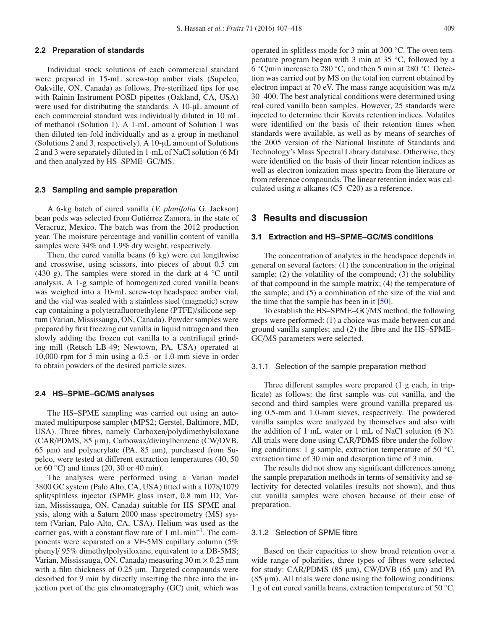# **2.2 Preparation of standards**

Individual stock solutions of each commercial standard were prepared in 15-mL screw-top amber vials (Supelco, Oakville, ON, Canada) as follows. Pre-sterilized tips for use with Rainin Instrument POSD pipettes (Oakland, CA, USA) were used for distributing the standards. A 10-µL amount of each commercial standard was individually diluted in 10 mL of methanol (Solution 1). A 1-mL amount of Solution 1 was then diluted ten-fold individually and as a group in methanol (Solutions 2 and 3, respectively). A 10-µL amount of Solutions 2 and 3 were separately diluted in 1-mL of NaCl solution (6 M) and then analyzed by HS–SPME–GC/MS.

#### **2.3 Sampling and sample preparation**

A 6-kg batch of cured vanilla (*V. planifolia* G. Jackson) bean pods was selected from Gutiérrez Zamora, in the state of Veracruz, Mexico. The batch was from the 2012 production year. The moisture percentage and vanillin content of vanilla samples were 34% and 1.9% dry weight, respectively.

Then, the cured vanilla beans (6 kg) were cut lengthwise and crosswise, using scissors, into pieces of about 0.5 cm (430 g). The samples were stored in the dark at  $4 °C$  until analysis. A 1-g sample of homogenized cured vanilla beans was weighed into a 10-mL screw-top headspace amber vial, and the vial was sealed with a stainless steel (magnetic) screw cap containing a polytetrafluoroethylene (PTFE)/silicone septum (Varian, Mississauga, ON, Canada). Powder samples were prepared by first freezing cut vanilla in liquid nitrogen and then slowly adding the frozen cut vanilla to a centrifugal grinding mill (Retsch LB-49; Newtown, PA, USA) operated at 10,000 rpm for 5 min using a 0.5- or 1.0-mm sieve in order to obtain powders of the desired particle sizes.

# **2.4 HS–SPME–GC/MS analyses**

The HS–SPME sampling was carried out using an automated multipurpose sampler (MPS2; Gerstel, Baltimore, MD, USA). Three fibres, namely Carboxen/polydimethylsiloxane (CAR/PDMS, 85 µm), Carbowax/divinylbenzene (CW/DVB, 65 µm) and polyacrylate (PA, 85 µm), purchased from Supelco, were tested at different extraction temperatures (40, 50 or  $60^{\circ}$ C) and times (20, 30 or 40 min).

The analyses were performed using a Varian model 3800 GC system (Palo Alto, CA, USA) fitted with a 1078/1079 split/splitless injector (SPME glass insert, 0.8 mm ID; Varian, Mississauga, ON, Canada) suitable for HS–SPME analysis, along with a Saturn 2000 mass spectrometry (MS) system (Varian, Palo Alto, CA, USA). Helium was used as the carrier gas, with a constant flow rate of 1 mL min−1. The components were separated on a VF-5MS capillary column (5% phenyl/ 95% dimethylpolysiloxane, equivalent to a DB-5MS; Varian, Mississauga, ON, Canada) measuring 30 m × 0.25 mm with a film thickness of 0.25  $\mu$ m. Targeted compounds were desorbed for 9 min by directly inserting the fibre into the injection port of the gas chromatography (GC) unit, which was

operated in splitless mode for 3 min at 300 ◦C. The oven temperature program began with 3 min at 35 ◦C, followed by a 6 ◦C/min increase to 280 ◦C, and then 5 min at 280 ◦C. Detection was carried out by MS on the total ion current obtained by electron impact at 70 eV. The mass range acquisition was m/z 30–400. The best analytical conditions were determined using real cured vanilla bean samples. However, 25 standards were injected to determine their Kovats retention indices. Volatiles were identified on the basis of their retention times when standards were available, as well as by means of searches of the 2005 version of the National Institute of Standards and Technology's Mass Spectral Library database. Otherwise, they were identified on the basis of their linear retention indices as well as electron ionization mass spectra from the literature or from reference compounds. The linear retention index was calculated using *n*-alkanes (C5–C20) as a reference.

# **3 Results and discussion**

# **3.1 Extraction and HS–SPME–GC/MS conditions**

The concentration of analytes in the headspace depends in general on several factors: (1) the concentration in the original sample; (2) the volatility of the compound; (3) the solubility of that compound in the sample matrix; (4) the temperature of the sample; and (5) a combination of the size of the vial and the time that the sample has been in it  $[50]$ .

To establish the HS–SPME–GC/MS method, the following steps were performed: (1) a choice was made between cut and ground vanilla samples; and (2) the fibre and the HS–SPME– GC/MS parameters were selected.

## 3.1.1 Selection of the sample preparation method

Three different samples were prepared (1 g each, in triplicate) as follows: the first sample was cut vanilla, and the second and third samples were ground vanilla prepared using 0.5-mm and 1.0-mm sieves, respectively. The powdered vanilla samples were analyzed by themselves and also with the addition of 1 mL water or 1 mL of NaCl solution (6 N). All trials were done using CAR/PDMS fibre under the following conditions: 1 g sample, extraction temperature of 50  $°C$ , extraction time of 30 min and desorption time of 3 min.

The results did not show any significant differences among the sample preparation methods in terms of sensitivity and selectivity for detected volatiles (results not shown), and thus cut vanilla samples were chosen because of their ease of preparation.

# 3.1.2 Selection of SPME fibre

Based on their capacities to show broad retention over a wide range of polarities, three types of fibres were selected for study: CAR/PDMS  $(85 \mu m)$ , CW/DVB  $(65 \mu m)$  and PA  $(85 \mu m)$ . All trials were done using the following conditions: 1 g of cut cured vanilla beans, extraction temperature of 50  $\mathrm{^{\circ}C}$ ,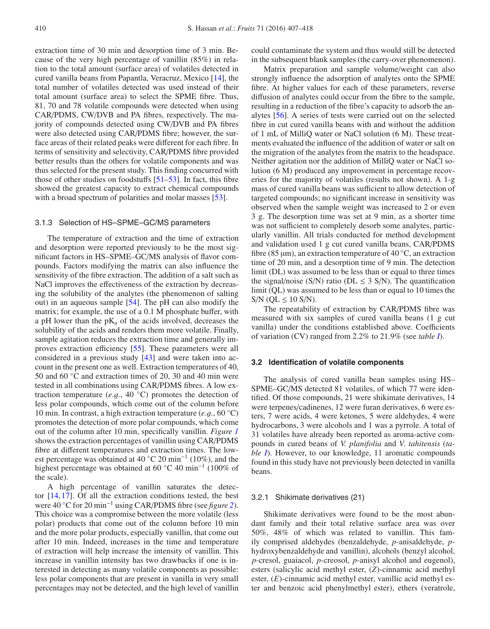extraction time of 30 min and desorption time of 3 min. Because of the very high percentage of vanillin (85%) in relation to the total amount (surface area) of volatiles detected in cured vanilla beans from Papantla, Veracruz, Mexico [\[14\]](#page-9-12), the total number of volatiles detected was used instead of their total amount (surface area) to select the SPME fibre. Thus, 81, 70 and 78 volatile compounds were detected when using CAR/PDMS, CW/DVB and PA fibres, respectively. The majority of compounds detected using CW/DVB and PA fibres were also detected using CAR/PDMS fibre; however, the surface areas of their related peaks were different for each fibre. In terms of sensitivity and selectivity, CAR/PDMS fibre provided better results than the others for volatile components and was thus selected for the present study. This finding concurred with those of other studies on foodstuffs [\[51](#page-10-14)[–53\]](#page-10-15). In fact, this fibre showed the greatest capacity to extract chemical compounds with a broad spectrum of polarities and molar masses [\[53\]](#page-10-15).

#### 3.1.3 Selection of HS–SPME–GC/MS parameters

The temperature of extraction and the time of extraction and desorption were reported previously to be the most significant factors in HS–SPME–GC/MS analysis of flavor compounds. Factors modifying the matrix can also influence the sensitivity of the fibre extraction. The addition of a salt such as NaCl improves the effectiveness of the extraction by decreasing the solubility of the analytes (the phenomenon of salting out) in an aqueous sample [\[54](#page-10-16)]. The pH can also modify the matrix; for example, the use of a 0.1 M phosphate buffer, with a pH lower than the  $pK_a$  of the acids involved, decreases the solubility of the acids and renders them more volatile. Finally, sample agitation reduces the extraction time and generally improves extraction efficiency [\[55\]](#page-10-17). These parameters were all considered in a previous study [\[43](#page-10-18)] and were taken into account in the present one as well. Extraction temperatures of 40, 50 and 60 ◦C and extraction times of 20, 30 and 40 min were tested in all combinations using CAR/PDMS fibres. A low extraction temperature (*e*.g., 40 ◦C) promotes the detection of less polar compounds, which come out of the column before 10 min. In contrast, a high extraction temperature (*e*.g., 60 ◦C) promotes the detection of more polar compounds, which come out of the column after 10 min, specifically vanillin. *Figure [1](#page-7-0)* shows the extraction percentages of vanillin using CAR/PDMS fibre at different temperatures and extraction times. The lowest percentage was obtained at 40 °C 20 min<sup>-1</sup> (10%), and the highest percentage was obtained at 60 ◦C 40 min−<sup>1</sup> (100% of the scale).

A high percentage of vanillin saturates the detector [\[14,](#page-9-12) [17\]](#page-9-21). Of all the extraction conditions tested, the best were 40 ◦C for 20 min−<sup>1</sup> using CAR/PDMS fibre (see *figure [2](#page-7-1)*). This choice was a compromise between the more volatile (less polar) products that come out of the column before 10 min and the more polar products, especially vanillin, that come out after 10 min. Indeed, increases in the time and temperature of extraction will help increase the intensity of vanillin. This increase in vanillin intensity has two drawbacks if one is interested in detecting as many volatile components as possible: less polar components that are present in vanilla in very small percentages may not be detected, and the high level of vanillin

could contaminate the system and thus would still be detected in the subsequent blank samples (the carry-over phenomenon).

Matrix preparation and sample volume/weight can also strongly influence the adsorption of analytes onto the SPME fibre. At higher values for each of these parameters, reverse diffusion of analytes could occur from the fibre to the sample, resulting in a reduction of the fibre's capacity to adsorb the analytes [\[56](#page-10-19)]. A series of tests were carried out on the selected fibre in cut cured vanilla beans with and without the addition of 1 mL of MilliQ water or NaCl solution (6 M). These treatments evaluated the influence of the addition of water or salt on the migration of the analytes from the matrix to the headspace. Neither agitation nor the addition of MilliQ water or NaCl solution (6 M) produced any improvement in percentage recoveries for the majority of volatiles (results not shown). A 1-g mass of cured vanilla beans was sufficient to allow detection of targeted compounds; no significant increase in sensitivity was observed when the sample weight was increased to 2 or even 3 g. The desorption time was set at 9 min, as a shorter time was not sufficient to completely desorb some analytes, particularly vanillin. All trials conducted for method development and validation used 1 g cut cured vanilla beans, CAR/PDMS fibre (85 µm), an extraction temperature of 40 °C, an extraction time of 20 min, and a desorption time of 9 min. The detection limit (DL) was assumed to be less than or equal to three times the signal/noise (S/N) ratio (DL  $\leq$  3 S/N). The quantification limit (QL) was assumed to be less than or equal to 10 times the  $S/N$  (OL  $\leq 10$  S/N).

The repeatability of extraction by CAR/PDMS fibre was measured with six samples of cured vanilla beans (1 g cut vanilla) under the conditions established above. Coefficients of variation (CV) ranged from 2.2% to 21.9% (see *table [I](#page-4-0)*).

## **3.2 Identification of volatile components**

The analysis of cured vanilla bean samples using HS– SPME–GC/MS detected 81 volatiles, of which 77 were identified. Of those compounds, 21 were shikimate derivatives, 14 were terpenes/cadinenes, 12 were furan derivatives, 6 were esters, 7 were acids, 4 were ketones, 5 were aldehydes, 4 were hydrocarbons, 3 were alcohols and 1 was a pyrrole. A total of 31 volatiles have already been reported as aroma-active compounds in cured beans of *V. planifolia* and *<sup>V</sup>*. *tahitensis* (*table [I](#page-4-0)*). However, to our knowledge, 11 aromatic compounds found in this study have not previously been detected in vanilla beans.

#### 3.2.1 Shikimate derivatives (21)

Shikimate derivatives were found to be the most abundant family and their total relative surface area was over 50%, 48% of which was related to vanillin. This family comprised aldehydes (benzaldehyde, *p*-anisaldehyde, *p*hydroxybenzaldehyde and vanillin), alcohols (benzyl alcohol, *p*-cresol, guaiacol, *p*-creosol, *p*-anisyl alcohol and eugenol), esters (salicylic acid methyl ester, (*Z*)-cinnamic acid methyl ester, (*E*)-cinnamic acid methyl ester, vanillic acid methyl ester and benzoic acid phenylmethyl ester), ethers (veratrole,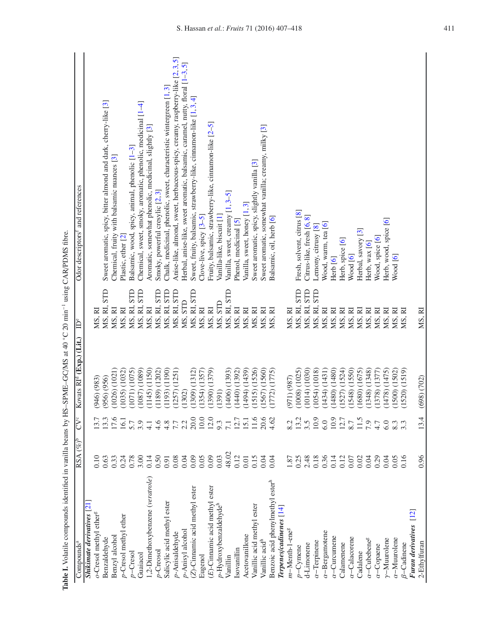| Ko sumo pamina manana manana sampai ya masa ya ma<br>Compounds <sup>a</sup> | $RSA (\%)^b$   | CV <sup>c</sup>     | Kovats RI <sup>d</sup> (Exp.) (Lit.) | $\epsilon$ men<br>P | and references<br>Odor descriptors <sup>1</sup><br>CAN/I DIVID IIUIU.         |
|-----------------------------------------------------------------------------|----------------|---------------------|--------------------------------------|---------------------|-------------------------------------------------------------------------------|
| <b>Shikimate derivatives</b> [21]                                           |                |                     |                                      |                     |                                                                               |
| o-Cresol methyl ether <sup>g</sup>                                          | 0.10           | 13.7                | 946) (983)                           | MS, RI              |                                                                               |
| Benzaldehyde                                                                | 0.63           | 13.3                | $(956)$ $(956)$                      | MS, RI, STD         | Sweet aromatic, spicy, bitter almond and dark, cherry-like [3]                |
| Benzyl alcohol                                                              | 0.33           | 17.6                | $(1026)$ $(1021)$                    | MS, RI              | Chemical, fruity with balsamic nuances [3]                                    |
| p-Cresol methyl ether                                                       | 0.24           | 16.1                | $(1035)$ $(1032)$                    | MS, RI              | Plastic, ether [2]                                                            |
| $p$ –Cresol                                                                 | 0.78           | 5.7                 | (1071) (1075)                        | MS, RI, STD         | Balsamic, wood, spicy, animal, phenolic [1-3]                                 |
| Guaiacol                                                                    | 3.00           | 3.9                 | 1087) (1089)                         | MS, RI, STD         | Chemical, sweet, smoky, aromatic, phenolic, medicinal [1-4]                   |
| 1,2-Dimethoxybenzene (veratrole)                                            | 0.14           | $\overline{4}$ .    | (1150)<br>(1145)                     | MS, RI              | Aromatic, somewhat phenolic, medicinal, slightly [3]                          |
| p-Creosol                                                                   | 0.50           | 4.6                 | (1202)<br>(1189)                     | MS, RI, STD         | Smoky, powerful cresylic [2,3]                                                |
| Salicylic acid methyl ester                                                 | 0.91           | 4.8                 | (1190)<br>(1193)                     | MS, RI, STD         | Chalk, medicinal, phenolic, sweet, characteristic wintergreen [1,3]           |
| p-Anisaldehyde                                                              | $0.08\,$       | $7.7$<br>2.2        | (1251)<br>(1257)                     | MS, RI, STD         | Anise-like, almond, sweet, herbaceous-spicy, creamy, raspberry-like [2, 3, 5] |
| p-Anisyl alcohol                                                            | 0.04           |                     | (1302)                               | MS, STD             | Herbal, anise-like, sweet aromatic, balsamic, caramel, nutty, floral [1-3, 5] |
| $(Z)$ -Cinnamic acid methyl ester                                           |                | 20.0                | (1309) (1312)                        | MS, RI, STD         | Sweet, fruity, balsamic, strawberry-like, cinnamon-like [1, 3, 4]             |
| Eugenol                                                                     | 0.05           | $10.0$              | (1354) (1357)                        | MS, RI              | Clove-live, spicy [3-5]                                                       |
| $(E)$ -Cinnamic acid methyl ester                                           | 0.09           | 12.0                | (1379)<br>(1390)                     | MS, RI              | Fruity, balsamic, strawberry-like, cinnamon-like [2-5]                        |
| p-Hydroxybenzaldehyde <sup>h</sup>                                          | 0.03           | 9.3                 | (1391)                               | MS, STD             | Vanilla-like, biscuit [1]                                                     |
| Vanillin                                                                    | 48.02          | 7.1                 | $(1406)$ $(1393)$                    | MS, RI, STD         | Vanilla, sweet, creamy [1, 3-5]                                               |
| Isovanillin                                                                 | 0.12           | 12.7                | $(1440)$ $(1392)$                    | MS, RI              | Phenol, medicinal [5]                                                         |
| Acetovanillone                                                              | $0.01\,$       | 15.1                | (1494) (1439)                        | MS, RI              | Vanilla, sweet, honey [1, 3]                                                  |
| Vanillic acid methyl ester                                                  | 0.15           | 11.6                | (1515)(1526)                         | MS, RI              | Sweet aromatic, spicy, slightly vanilla [3]                                   |
| Vanillic acid <sup>h</sup>                                                  | 0.04           | 20.6                | (1567) (1560)                        | MS, RI              | Sweet aromatic, somewhat vanilla; creamy, milky [3]                           |
| Benzoic acid phenylmethyl ester <sup>h</sup>                                | 0.04           | 4.62                | (1772) (1775)                        | MS, RI              | Balsamic, oil, herb [6]                                                       |
| $Tepenes/cadinenes$ $[14]$                                                  |                |                     |                                      |                     |                                                                               |
| $m$ -Menth-1-ene $s$                                                        | 1.87           | 8.2                 | $(971)$ $(987)$                      | MS, RI              |                                                                               |
| $p$ –Cymene                                                                 | 0.25           | 13.2                | $(1008)$ $(1025)$                    | MS, RI, STD         | Fresh, solvent, citrus [8]                                                    |
| d-Limonene                                                                  | 2.48           | 3.5                 | (1014) (1030)                        | MS, RI, STD         | Citrus-like, fresh [6, 8]                                                     |
| $\alpha$ -Terpinene                                                         | $0.18$<br>0.36 | 10.9                | (1054) (1018)                        | MS, RI, STD         | Lemony, citrusy [8]                                                           |
| $\alpha$ -Bergamotene                                                       |                | 6.0                 | (1434) (1431)                        | MS, RI              | Wood, warm, tea [6]                                                           |
| $\alpha$ -Curcumene                                                         | 0.14           |                     | (1480) (1480)                        | MS, RI              | Herb [6]                                                                      |
| Calamenene                                                                  | 0.12           | $\frac{10.9}{12.7}$ | (1527) (1524)                        | MS, RI              | Herb, spice [6]                                                               |
| $\alpha$ -Calacorene                                                        | 0.07           |                     | $(1548)$ $(1550)$                    | MS, RI              | Wood [6]                                                                      |
| Cadalene                                                                    | 0.02           | 11.5                | (1680) (1675)                        | MS, RI              | Herbal, savory [3]                                                            |
| $\alpha$ -Cubebene <sup>g</sup>                                             | 0.04           | 7.9                 | $(1348)$ $(1348)$                    | MS, RI              | Herb, wax [6]                                                                 |
| $\alpha$ -Copaene                                                           | 0.29           | 4.7                 | $(1378)$ $(1377)$                    | MS, RI              | Wood, spice [6]                                                               |
| $\gamma$ -Muurolene                                                         | 0.04           | 6.0                 | 1478) (1475)                         | MS, RI              | Herb, wood, spice [6]                                                         |
| $\alpha$ -Muurolene                                                         | 0.05           |                     | (1500) (1502)                        | MS, RI              | Wood [6]                                                                      |
| $\beta$ -Cadinene                                                           | 0.16           |                     | (1520) (1519)                        | MS, RI              |                                                                               |
| $\overline{12}$<br>Furan derivatives                                        |                |                     |                                      |                     |                                                                               |
| 2-Ethylfuran                                                                | 0.96           | 13.4                | (698) (702)                          | MS, RI              |                                                                               |

<span id="page-4-0"></span>Table I. Volatile compounds identified in vanilla beans by HS-SPME-GC/MS at 40 °C 20 min<sup>-1</sup> using CAR/PDMS fibre. **Table I.** Volatile compounds identified in vanilla beans by HS–SPME–GC/MS at 40 ◦C 20 min−1 using CAR/PDMS fibre.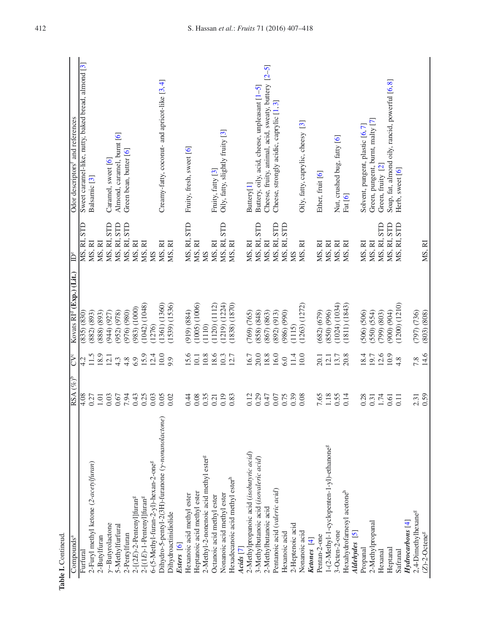| Table I. Contineud.<br>Compounds <sup>a</sup>         | $(\overline{\mathscr{C}}_b)^\mathrm{b}$<br><b>RSA</b> | CV <sup>c</sup>  | Kovats RI <sup>d</sup> (Exp.) (Lit.) | ÌP               | Odor descriptors <sup>t</sup> and references               |
|-------------------------------------------------------|-------------------------------------------------------|------------------|--------------------------------------|------------------|------------------------------------------------------------|
| Furfural                                              | 4.08                                                  | 4.2              | $(835)$ $(830)$                      | STD<br>MS, RI.   |                                                            |
|                                                       |                                                       |                  |                                      |                  | Sweet caramel-like, nutty, baked bread, almond [3]         |
| 2-Furyl methyl ketone (2-acetylfuran)                 | 0.27                                                  | 18.9<br>11.5     | 882) (893)                           | MS, RI<br>MS, RI | Balsamic <sup>[3]</sup>                                    |
| 2-Butylfuran                                          | $1.01\,$                                              |                  | 888 (893)                            |                  |                                                            |
| $\gamma$ -Butyrolactone                               | 0.03                                                  | 12.1             | $(944)$ $(927)$                      | MS, RI, STD      | Caramel, sweet [6]                                         |
| 5-Methylfurfural                                      | 0.67                                                  | 4.3              | 952) (978)                           | MS, RI, STD      | Almond, caramel, burnt [6]                                 |
| 2-Pentylfuran                                         | 7.94                                                  | 4.8              | 976) (980)                           | MS, RI, STD      | Green bean, butter [6]                                     |
| $2-[2E)-2-Penteny1]$ furan $8$                        | 0.43                                                  | 6.9              | 983) (1000)                          | MS, RI           |                                                            |
| $2-[1E)-1-Penteny1]$ furan $8$                        | 0.25                                                  | 15.9             | 1042) (1048)                         | MS, RI           |                                                            |
| 6-(5-Methyl-furan-2-yl)-hexan-2-one <sup>g</sup>      | 0.03                                                  | 12.4             | 1276)                                | <b>NS</b>        |                                                            |
| Dihydro-5-pentyl-2(3H)-furanone (y-nonanolactone      | 0.05                                                  | 10.0             | 1361) (1360)                         | MS, RI           | Creamy-fatty, coconut- and apricot-like [3,4]              |
| Dihydroactinidiolide                                  | 0.02                                                  | 9.9              | 1539) (1536)                         | MS, RI           |                                                            |
| Esters [6]                                            |                                                       |                  |                                      |                  |                                                            |
| Hexanoic acid methyl ester                            | 0.44                                                  | 15.6             | (919) (884)                          | MS, RI, STD      | Fruity, fresh, sweet [6]                                   |
| Heptanoic acid methyl ester                           | 0.08                                                  | 10.1             | 1005) (1006)                         | MS, RI           |                                                            |
| 2-Methyl-2-nonenoic acid methyl ester <sup>g</sup>    | 0.35                                                  | 10.8             | (1110)                               | SM               |                                                            |
| Octanoic acid methyl ester                            | 0.21                                                  | 18.6             | 1120) (1112)                         | MS, RI           | Fruity, fatty [3]                                          |
| Nonanoic acid methyl ester                            | 0.19                                                  | 10.3             | (1219) (1224)                        | STD<br>MS, RI,   | Oily, fatty, slightly fruity [3]                           |
| Hexadecanoic acid methyl ester <sup>h</sup>           | 0.83                                                  | 12.7             | (1838) (1870)                        | MS, RI           |                                                            |
| Acids [7]                                             |                                                       |                  |                                      |                  |                                                            |
| 2-Methylpropanoic acid (isobutyric acid)              | 0.12                                                  | 16.7             | 769) (765)                           | MS, RI           | Buttery[1]                                                 |
| 3-Methylbutanoic acid (isovaleric acid)               | 0.29                                                  | 20.0             | 858) (848)                           | MS, RI, STD      | Buttery, oily, acid, cheese, unpleasant [1-5]              |
| 2-Methylbutanoic acid                                 | 0.47                                                  | 18.8             | 867) (863)                           | MS, RI           | $[2 - 5]$<br>Cheese, fruity, animal, acid, sweaty, buttery |
| Pentanoic acid (valeric acid)                         | 0.07                                                  | 16.0             | 892) (913)                           | MS, RI, STD      | Cheese, strongly acidic, caprylic [1,3]                    |
| Hexanoic acid                                         | 0.75                                                  | 6.0              | $(066)$ $(986)$                      | MS, RI, STD      |                                                            |
| 2-Heptenoic acid                                      | 0.39                                                  | 11.4             | (1115)                               | <b>NS</b>        |                                                            |
| Nonanoic acid                                         | 0.08                                                  | 10.0             | (1263) (1272)                        | MS, RI           | $\mathcal{E}$<br>Oily, fatty, caprylic, cheesy             |
| Ketones [4]                                           |                                                       |                  |                                      |                  |                                                            |
| Pentan-2-one                                          | 7.65                                                  | 20.1             | $(682)$ $(679)$                      | MS, RI           | Ether, fruit [6]                                           |
| 1-(2-Methyl-1-cyclopenten-1-yl)-ethanone <sup>g</sup> | 1.18                                                  | $\frac{12.1}{2}$ | 850) (996)                           | MS, RI           |                                                            |
| 3-Octen-2-one                                         | 0.55                                                  | 13.7             | (1024) (1034)                        | MS, RI           | Nut, crushed bug, fatty [6]                                |
| Hexahydrofarnesyl acetone <sup>h</sup>                | 0.14                                                  | 20.8             | (1811)(1843)                         | MS, RI           | Fat [6]                                                    |
| Aldehydes [5]                                         |                                                       |                  |                                      |                  |                                                            |
| Propanal                                              | 0.28                                                  | 18.4             | 506) (506)                           | MS, RI           | Solvent, pungent, plastic [6,7]                            |
| 2-Methylpropanal                                      | 0.31                                                  | 19.7             | 550) (554)                           | MS, RI           | Green, pungent, burnt, malty [7]                           |
| Hexanal                                               | 1.74                                                  | 12.6             | 799) (803)                           | MS, RI, STD      | Green, fruity [2]                                          |
| Heptanal                                              | 0.61                                                  | 10.9             | $(106)$ $(904)$                      | MS, RI, STD      | Soap, fat, almond oily, rancid, powerful [6, 8]            |
| Safranal                                              | $\overline{0}$ .                                      | 4.8              | (1200) (1210)                        | MS, RI, STD      | Herb, sweet [6]                                            |
| $Hydrocarbons$ $[4]$                                  |                                                       |                  |                                      |                  |                                                            |
| 2,4-Dimethylhexane <sup>g</sup>                       | 2.31                                                  | 7.8              | (797) (736)                          |                  |                                                            |
| $(Z)$ -2-Octene <sup>g</sup>                          | 0.59                                                  | 14.6             | $(803)$ $(808)$                      | MS, RI           |                                                            |

Table I. Contineud.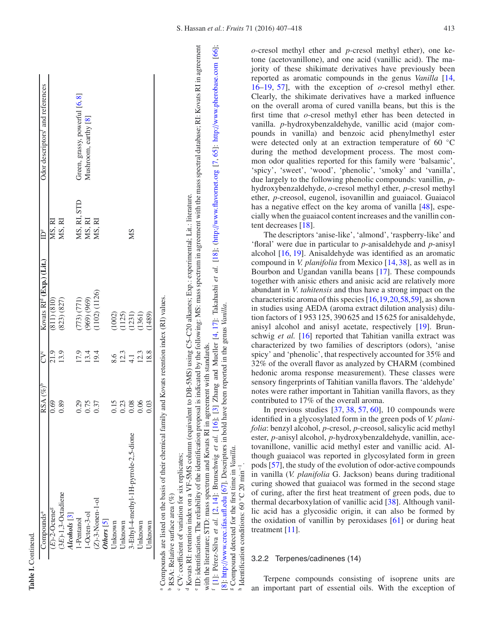| Compounds <sup>a</sup>                | $RSA \left( \% \right)$ <sup>b</sup>              | CV <sup>c</sup>              | Kovats RI <sup>d</sup> (Exp.) (Lit.)      | Ĕ                               | Odor descriptors <sup>1</sup> and references |
|---------------------------------------|---------------------------------------------------|------------------------------|-------------------------------------------|---------------------------------|----------------------------------------------|
| $(E)$ -2-Octene <sup>g</sup>          | 0.69                                              | 21.9                         | $(811)$ $(810)$                           | MS, RI                          |                                              |
| $(3E)$ -1,3-Octadiene                 | 0.89                                              | 13.9                         | (823) (827)                               | MS, RI                          |                                              |
| $Icohols$ $[3]$                       |                                                   |                              |                                           |                                 |                                              |
| l-Pentanol                            |                                                   |                              |                                           |                                 | Green, grassy, powerful [6, 8]               |
| $1-Octen-3-ol$                        | 0.37<br>0.57<br>0.97                              | $\frac{17.9}{13.4}$          | $(773) (771)$<br>$(969) (969)$            | MS, RI, STD<br>MS, RI<br>MS, RI | Mushroom, earthy [8]                         |
| $(Z)-3-Nonen-1-ol$                    |                                                   |                              | 1102) (1126)                              |                                 |                                              |
| Others <sub>5</sub>                   |                                                   |                              |                                           |                                 |                                              |
| <b>Unknown</b>                        |                                                   |                              |                                           |                                 |                                              |
| <b>Jnknown</b>                        | $\begin{array}{c} 15 \\ 0.38 \\ 0.08 \end{array}$ |                              |                                           |                                 |                                              |
| 3-Ethyl-4-methyl-1H-pyrrole-2,5-dione |                                                   | 8.6<br>12.3<br>14.13<br>18.8 | $(1002)$<br>$(125)$<br>$(125)$<br>$(136)$ | SM                              |                                              |
| Jnknown                               | 0.06                                              |                              |                                           |                                 |                                              |
| Jnknown                               | 0.03                                              |                              | 1489)                                     |                                 |                                              |

 Compounds are listed on the basis of their chemical family and Kovats retention index (RI) values. and Kovats retention index (KI) values <sup>a</sup> Compounds are listed on the basis of their chemical family

<sup>b</sup> RSA: Relative surface area (%)  $P$  RSA: Relative surface area (%)

° CV: coefficient of variation for six replicates; CV: coe fficient of variation for six replicates;

<sup>d</sup> Kovats RI: retention index on a VF-5MS column (equivalent to DB-5MS) using C5-C20 alkanes; Exp.: experimental; Lit.: literature. Kovats RI: retention index on a VF-5MS column (equivalent to DB-5MS) using C5–C20 alkanes; Exp.: experimental; Lit.: literature.

<sup>6</sup> ID: identification. The reliability of the identification proposal is indicated by the following: MS: mass spectrum in agreement with the mass spectral database; RI: Kovats RI in agreement ID: identification. The reliability of the identification proposal is indicated by the following: MS: mass spectrum in agreement with the mass spectral database; RI: Kovats RI in agreement [\[1](#page-9-0)]: Pérez-Silva et al. [\[2](#page-9-1), [14](#page-9-12)]: Brunschwig et al. [\[16](#page-9-23)]; [\[3](#page-9-2)] Zhang and Mueller [\[4](#page-9-3), [17](#page-9-21)]: Takahashi et al. [\[18](#page-9-22)]; (http://[www.flavornet.org](http://www.flavornet.org) [\[7](#page-9-5), [65](#page-11-0)]: http://[www.pherobase.com](http://www.pherobase.com) [\[66](#page-11-1)]; Zhang and Mueller [4, 17]: Takahashi et al. [18]; (http://www.flavornet.org [7, 65]: http://www.pherobase.com with the literature; STD: mass spectrum and Kovats RI in agreement with standards. with the literature; STD: mass spectrum and Kovats RI in agreement with standards.  $[16]$ ;  $[3]$ d.  $[2, 14]$ : Brunschwig et <sup>f</sup> [1]: Pérez-Silva et al.

[\[8](#page-9-6)]: http://[www.crec.ifas.ufl.edu](http://www.crec.ifas.ufl.edu) [\[67\]](#page-11-2). Descriptors in bold have been reported in the genus *Vanilla*. g[8]: http://www.crec.ifas.ufl.edu [67]. Descriptors in bold have been reported in the genus Vanilla

o-cresol methyl ether and *p*-cresol methyl ether and *p*-cresol methyl ether), one ke-shighinate derivatives have previously been provided by the proposition of o-cresol methyl ether shight and the proposition of o-cresol tone (acetovanillone), and one acid (vanillic acid). The majority of these shikimate derivatives have previously been reported as aromatic compounds in the genus *Vanilla* [\[14](#page-9-12), [16](#page-9-23)[–19,](#page-9-13) [57\]](#page-10-20), with the exception of *o*-cresol methyl ether. Clearly, the shikimate derivatives have a marked influence on the overall aroma of cured vanilla beans, but this is the first time that *o*-cresol methyl ether has been detected in vanilla. *p*-hydroxybenzaldehyde, vanillic acid (major compounds in vanilla) and benzoic acid phenylmethyl ester were detected only at an extraction temperature of 60 °C during the method development process. The most common odor qualities reported for this family were 'balsamic', 'spicy', 'sweet', 'wood', 'phenolic', 'smoky' and 'vanilla', due largely to the following phenolic compounds: vanillin, *p*hydroxybenzaldehyde, *o*-cresol methyl ether, *p*-cresol methyl ether, *p*-creosol, eugenol, isovanillin and guaiacol. Guaiacol has a negative effect on the key aroma of vanilla [\[48\]](#page-10-11), especially when the guaiacol content increases and the vanillin content decreases [\[18\]](#page-9-22).

The descriptors 'anise-like', 'almond', 'raspberry-like' and 'floral' were due in particular to *p*-anisaldehyde and *p*-anisyl alcohol [\[16,](#page-9-23) [19\]](#page-9-13). Anisaldehyde was identified as an aromatic compound in *V. planifolia* from Mexico [\[14,](#page-9-12) [38\]](#page-10-21), as well as in Bourbon and Ugandan vanilla beans [\[17\]](#page-9-21). These compounds together with anisic ethers and anisic acid are relatively more abundant in *<sup>V</sup>*. *tahitensis* and thus have a strong impact on the characteristic aroma of this species [\[16](#page-9-23)[,19,](#page-9-13)[20](#page-9-14)[,58](#page-10-22)[,59](#page-11-3)], as shown in studies using AEDA (aroma extract dilution analysis) dilution factors of 1 953 125, 390 625 and 15 625 for anisaldehyde, anisyl alcohol and anisyl acetate, respectively [\[19\]](#page-9-13). Brunschwig *et al.* [\[16](#page-9-23)] reported that Tahitian vanilla extract was characterized by two families of descriptors (odors), 'anise spicy' and 'phenolic', that respectively accounted for 35% and 32% of the overall flavor as analyzed by CHARM (combined hedonic aroma response measurement). These classes were sensory fingerprints of Tahitian vanilla flavors. The 'aldehyde' notes were rather important in Tahitian vanilla flavors, as they contributed to 17% of the overall aroma.

In previous studies  $[37, 38, 57, 60]$  $[37, 38, 57, 60]$  $[37, 38, 57, 60]$  $[37, 38, 57, 60]$  $[37, 38, 57, 60]$  $[37, 38, 57, 60]$  $[37, 38, 57, 60]$ , 10 compounds were identified in a glycosylated form in the green pods of *V. planifolia*: benzyl alcohol, *p*-cresol, *p*-creosol, salicylic acid methyl ester, *p*-anisyl alcohol, *p*-hydroxybenzaldehyde, vanillin, acetovanillone, vanillic acid methyl ester and vanillic acid. Although guaiacol was reported in glycosylated form in green pods [\[57\]](#page-10-20), the study of the evolution of odor-active compounds in vanilla (*V. planifolia* G. Jackson) beans during traditional curing showed that guaiacol was formed in the second stage of curing, after the first heat treatment of green pods, due to thermal decarboxylation of vanillic acid [\[38](#page-10-21)]. Although vanillic acid has a glycosidic origin, it can also be formed by the oxidation of vanillin by peroxidases [\[61](#page-11-5)] or during heat treatment [\[11\]](#page-9-9).

# 3.2.2 Terpenes/cadinenes (14)

Terpene compounds consisting of isoprene units are an important part of essential oils. With the exception of

 $[66]$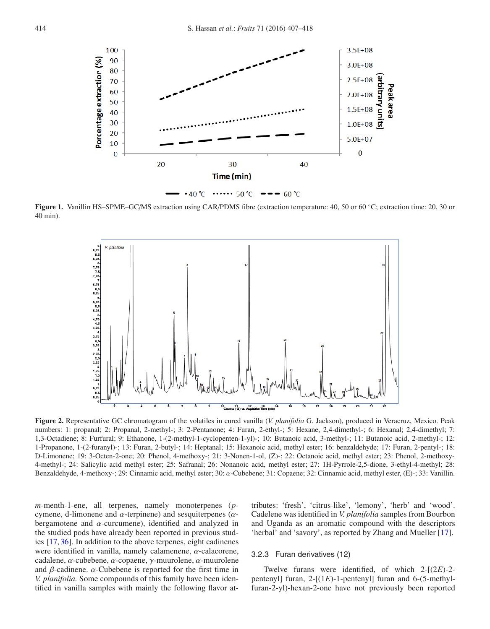<span id="page-7-0"></span>

<span id="page-7-1"></span>**Figure 1.** Vanillin HS–SPME–GC/MS extraction using CAR/PDMS fibre (extraction temperature: 40, 50 or 60 ◦C; extraction time: 20, 30 or 40 min).



**Figure 2.** Representative GC chromatogram of the volatiles in cured vanilla (*V. planifolia* G. Jackson), produced in Veracruz, Mexico. Peak numbers: 1: propanal; 2: Propanal, 2-methyl-; 3: 2-Pentanone; 4: Furan, 2-ethyl-; 5: Hexane, 2,4-dimethyl-; 6: Hexanal; 2,4-dimethyl; 7: 1,3-Octadiene; 8: Furfural; 9: Ethanone, 1-(2-methyl-1-cyclopenten-1-yl)-; 10: Butanoic acid, 3-methyl-; 11: Butanoic acid, 2-methyl-; 12: 1-Propanone, 1-(2-furanyl)-; 13: Furan, 2-butyl-; 14: Heptanal; 15: Hexanoic acid, methyl ester; 16: benzaldehyde; 17: Furan, 2-pentyl-; 18: D-Limonene; 19: 3-Octen-2-one; 20: Phenol, 4-methoxy-; 21: 3-Nonen-1-ol, (Z)-; 22: Octanoic acid, methyl ester; 23: Phenol, 2-methoxy-4-methyl-; 24: Salicylic acid methyl ester; 25: Safranal; 26: Nonanoic acid, methyl ester; 27: 1H-Pyrrole-2,5-dione, 3-ethyl-4-methyl; 28: Benzaldehyde, 4-methoxy-; 29: Cinnamic acid, methyl ester; 30: α-Cubebene; 31: Copaene; 32: Cinnamic acid, methyl ester, (E)-; 33: Vanillin.

*m*-menth-1-ene, all terpenes, namely monoterpenes (*p*cymene, d-limonene and  $\alpha$ -terpinene) and sesquiterpenes ( $\alpha$ bergamotene and  $\alpha$ -curcumene), identified and analyzed in the studied pods have already been reported in previous studies [\[17,](#page-9-21) [36\]](#page-10-24). In addition to the above terpenes, eight cadinenes were identified in vanilla, namely calamenene, α-calacorene, cadalene, α-cubebene, α-copaene, γ-muurolene, α-muurolene and  $\beta$ -cadinene.  $\alpha$ -Cubebene is reported for the first time in *V. planifolia.* Some compounds of this family have been identified in vanilla samples with mainly the following flavor attributes: 'fresh', 'citrus-like', 'lemony', 'herb' and 'wood'. Cadelene was identified in *V. planifolia* samples from Bourbon and Uganda as an aromatic compound with the descriptors 'herbal' and 'savory', as reported by Zhang and Mueller [\[17](#page-9-21)].

## 3.2.3 Furan derivatives (12)

Twelve furans were identified, of which 2-[(2*E*)-2 pentenyl] furan, 2-[(1*E*)-1-pentenyl] furan and 6-(5-methylfuran-2-yl)-hexan-2-one have not previously been reported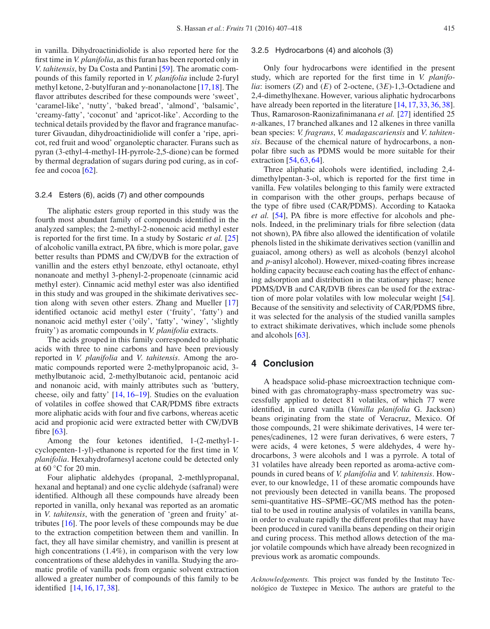in vanilla. Dihydroactinidiolide is also reported here for the first time in *V. planifolia*, as this furan has been reported only in *<sup>V</sup>*. *tahitensis*, by Da Costa and Pantini [\[59\]](#page-11-3). The aromatic compounds of this family reported in *V. planifolia* include 2-furyl methyl ketone, 2-butylfuran and  $\gamma$ -nonanolactone [\[17,](#page-9-21)[18\]](#page-9-22). The flavor attributes described for these compounds were 'sweet', 'caramel-like', 'nutty', 'baked bread', 'almond', 'balsamic', 'creamy-fatty', 'coconut' and 'apricot-like'. According to the technical details provided by the flavor and fragrance manufacturer Givaudan, dihydroactinidiolide will confer a 'ripe, apricot, red fruit and wood' organoleptic character. Furans such as pyran (3-ethyl-4-methyl-1H-pyrrole-2,5-dione) can be formed by thermal degradation of sugars during pod curing, as in coffee and cocoa [\[62](#page-11-6)].

## 3.2.4 Esters (6), acids (7) and other compounds

The aliphatic esters group reported in this study was the fourth most abundant family of compounds identified in the analyzed samples; the 2-methyl-2-nonenoic acid methyl ester is reported for the first time. In a study by Sostaric *et al.* [\[25\]](#page-9-20) of alcoholic vanilla extract, PA fibre, which is more polar, gave better results than PDMS and CW/DVB for the extraction of vanillin and the esters ethyl benzoate, ethyl octanoate, ethyl nonanoate and methyl 3-phenyl-2-propenoate (cinnamic acid methyl ester). Cinnamic acid methyl ester was also identified in this study and was grouped in the shikimate derivatives section along with seven other esters. Zhang and Mueller [\[17\]](#page-9-21) identified octanoic acid methyl ester ('fruity', 'fatty') and nonanoic acid methyl ester ('oily', 'fatty', 'winey', 'slightly fruity') as aromatic compounds in *V. planifolia* extracts.

The acids grouped in this family corresponded to aliphatic acids with three to nine carbons and have been previously reported in *V. planifolia* and *<sup>V</sup>*. *tahitensis*. Among the aromatic compounds reported were 2-methylpropanoic acid, 3 methylbutanoic acid, 2-methylbutanoic acid, pentanoic acid and nonanoic acid, with mainly attributes such as 'buttery, cheese, oily and fatty' [\[14](#page-9-12), [16](#page-9-23)[–19\]](#page-9-13). Studies on the evaluation of volatiles in coffee showed that CAR/PDMS fibre extracts more aliphatic acids with four and five carbons, whereas acetic acid and propionic acid were extracted better with CW/DVB fibre [\[63\]](#page-11-7).

Among the four ketones identified, 1-(2-methyl-1 cyclopenten-1-yl)-ethanone is reported for the first time in *V. planifolia*. Hexahydrofarnesyl acetone could be detected only at  $60^{\circ}$ C for 20 min.

Four aliphatic aldehydes (propanal, 2-methlypropanal, hexanal and heptanal) and one cyclic aldehyde (safranal) were identified. Although all these compounds have already been reported in vanilla, only hexanal was reported as an aromatic in *<sup>V</sup>*. *tahitensis*, with the generation of 'green and fruity' attributes [\[16](#page-9-23)]. The poor levels of these compounds may be due to the extraction competition between them and vanillin. In fact, they all have similar chemistry, and vanillin is present at high concentrations (1.4%), in comparison with the very low concentrations of these aldehydes in vanilla. Studying the aromatic profile of vanilla pods from organic solvent extraction allowed a greater number of compounds of this family to be identified [\[14,](#page-9-12) [16](#page-9-23), [17,](#page-9-21) [38\]](#page-10-21).

## 3.2.5 Hydrocarbons (4) and alcohols (3)

Only four hydrocarbons were identified in the present study, which are reported for the first time in *V. planifolia*: isomers (*Z*) and (*E*) of 2-octene, (3*E*)-1,3-Octadiene and 2,4-dimethylhexane. However, various aliphatic hydrocarbons have already been reported in the literature [\[14,](#page-9-12) [17,](#page-9-21) [33,](#page-10-7) [36](#page-10-24), [38](#page-10-21)]. Thus, Ramaroson-Raonizafinimanana *et al.* [\[27](#page-10-1)] identified 25 *n*-alkanes, 17 branched alkanes and 12 alkenes in three vanilla bean species: *V. fragrans*, *V. madagascariensis* and *<sup>V</sup>*. *tahitensis*. Because of the chemical nature of hydrocarbons, a nonpolar fibre such as PDMS would be more suitable for their extraction  $[54, 63, 64]$  $[54, 63, 64]$  $[54, 63, 64]$  $[54, 63, 64]$  $[54, 63, 64]$ .

Three aliphatic alcohols were identified, including 2,4 dimethylpentan-3-ol, which is reported for the first time in vanilla. Few volatiles belonging to this family were extracted in comparison with the other groups, perhaps because of the type of fibre used (CAR/PDMS). According to Kataoka *et al.* [\[54\]](#page-10-16), PA fibre is more effective for alcohols and phenols. Indeed, in the preliminary trials for fibre selection (data not shown), PA fibre also allowed the identification of volatile phenols listed in the shikimate derivatives section (vanillin and guaiacol, among others) as well as alcohols (benzyl alcohol and *p*-anisyl alcohol). However, mixed-coating fibres increase holding capacity because each coating has the effect of enhancing adsorption and distribution in the stationary phase; hence PDMS/DVB and CAR/DVB fibres can be used for the extraction of more polar volatiles with low molecular weight [\[54](#page-10-16)]. Because of the sensitivity and selectivity of CAR/PDMS fibre, it was selected for the analysis of the studied vanilla samples to extract shikimate derivatives, which include some phenols and alcohols [\[63](#page-11-7)].

# **4 Conclusion**

A headspace solid-phase microextraction technique combined with gas chromatography-mass spectrometry was successfully applied to detect 81 volatiles, of which 77 were identified, in cured vanilla (*Vanilla planifolia* G. Jackson) beans originating from the state of Veracruz, Mexico. Of those compounds, 21 were shikimate derivatives, 14 were terpenes/cadinenes, 12 were furan derivatives, 6 were esters, 7 were acids, 4 were ketones, 5 were aldehydes, 4 were hydrocarbons, 3 were alcohols and 1 was a pyrrole. A total of 31 volatiles have already been reported as aroma-active compounds in cured beans of *V. planifolia* and *<sup>V</sup>*. *tahitensis*. However, to our knowledge, 11 of these aromatic compounds have not previously been detected in vanilla beans. The proposed semi-quantitative HS–SPME–GC/MS method has the potential to be used in routine analysis of volatiles in vanilla beans, in order to evaluate rapidly the different profiles that may have been produced in cured vanilla beans depending on their origin and curing process. This method allows detection of the major volatile compounds which have already been recognized in previous work as aromatic compounds.

*Acknowledgements.* This project was funded by the Instituto Tecnológico de Tuxtepec in Mexico. The authors are grateful to the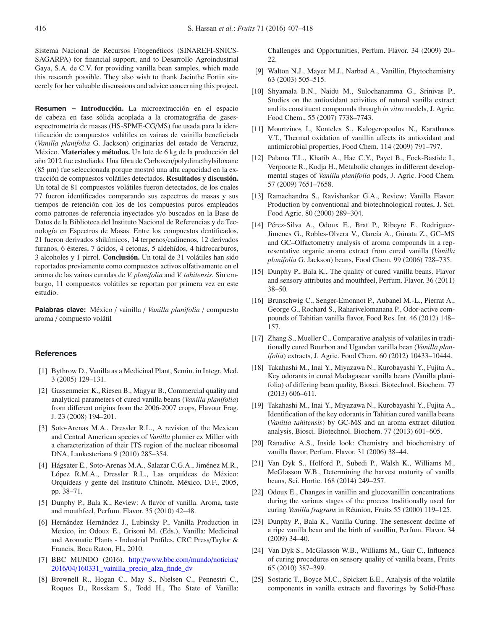Sistema Nacional de Recursos Fitogenéticos (SINAREFI-SNICS-SAGARPA) for financial support, and to Desarrollo Agroindustrial Gaya, S.A. de C.V. for providing vanilla bean samples, which made this research possible. They also wish to thank Jacinthe Fortin sincerely for her valuable discussions and advice concerning this project.

**Resumen – Introducción.** La microextracción en el espacio de cabeza en fase sólida acoplada a la cromatográfia de gasesespectrometría de masas (HS-SPME-CG/MS) fue usada para la identificación de compuestos volátiles en vainas de vainilla beneficiada (*Vanilla planifolia* G. Jackson) originarias del estado de Veracruz, México. **Materiales y métodos.** Un lote de 6 kg de la producción del año 2012 fue estudiado. Una fibra de Carboxen/polydimethylsiloxane (85 µm) fue seleccionada porque mostró una alta capacidad en la extracción de compuestos volátiles detectados. **Resultados y discusión.** Un total de 81 compuestos volátiles fueron detectados, de los cuales 77 fueron identificados comparando sus espectros de masas y sus tiempos de retención con los de los compuestos puros empleados como patrones de referencia inyectados y/o buscados en la Base de Datos de la Biblioteca del Instituto Nacional de Referencias y de Tecnología en Espectros de Masas. Entre los compuestos dentificados, 21 fueron derivados shikímicos, 14 terpenos/cadinenos, 12 derivados furanos, 6 ésteres, 7 ácidos, 4 cetonas, 5 aldehídos, 4 hidrocarburos, 3 alcoholes y 1 pirrol. **Conclusión.** Un total de 31 volátiles han sido reportados previamente como compuestos activos olfativamente en el aroma de las vainas curadas de *V. planifolia* and *V. tahitensis.* Sin embargo, 11 compuestos volátiles se reportan por primera vez en este estudio.

**Palabras clave:** México / vainilla / *Vanilla planifolia* / compuesto aroma / compuesto volátil

## <span id="page-9-0"></span>**References**

- [1] Bythrow D., Vanilla as a Medicinal Plant, Semin. in Integr. Med. 3 (2005) 129–131.
- <span id="page-9-1"></span>[2] Gassenmeier K., Riesen B., Magyar B., Commercial quality and analytical parameters of cured vanilla beans (*Vanilla planifolia*) from different origins from the 2006-2007 crops, Flavour Frag. J. 23 (2008) 194–201.
- <span id="page-9-2"></span>[3] Soto-Arenas M.A., Dressler R.L., A revision of the Mexican and Central American species of *Vanilla* plumier ex Miller with a characterization of their ITS region of the nuclear ribosomal DNA, Lankesteriana 9 (2010) 285–354.
- <span id="page-9-3"></span>[4] Hágsater E., Soto-Arenas M.A., Salazar C.G.A., Jiménez M.R., López R.M.A., Dressler R.L., Las orquídeas de México: Orquídeas y gente del Instituto Chinoín. México, D.F., 2005, pp. 38–71.
- <span id="page-9-24"></span>[5] Dunphy P., Bala K., Review: A flavor of vanilla. Aroma, taste and mouthfeel, Perfum. Flavor. 35 (2010) 42–48.
- <span id="page-9-4"></span>[6] Hernández Hernández J., Lubinsky P., Vanilla Production in Mexico, in: Odoux E., Grisoni M. (Eds.), Vanilla: Medicinal and Aromatic Plants - Industrial Profiles, CRC Press/Taylor & Francis, Boca Raton, FL, 2010.
- <span id="page-9-5"></span>[7] BBC MUNDO (2016). http://[www.bbc.com](http://www.bbc.com/mundo/noticias/2016/04/160331_vainilla_precio_alza_finde_dv)/mundo/noticias/ 2016/04/[160331\\_vainilla\\_precio\\_alza\\_finde\\_dv](http://www.bbc.com/mundo/noticias/2016/04/160331_vainilla_precio_alza_finde_dv)
- <span id="page-9-6"></span>[8] Brownell R., Hogan C., May S., Nielsen C., Pennestri C., Roques D., Rosskam S., Todd H., The State of Vanilla:

Challenges and Opportunities, Perfum. Flavor. 34 (2009) 20– 22.

- <span id="page-9-7"></span>[9] Walton N.J., Mayer M.J., Narbad A., Vanillin, Phytochemistry 63 (2003) 505–515.
- <span id="page-9-8"></span>[10] Shyamala B.N., Naidu M., Sulochanamma G., Srinivas P., Studies on the antioxidant activities of natural vanilla extract and its constituent compounds through *in vitro* models, J. Agric. Food Chem., 55 (2007) 7738–7743.
- <span id="page-9-9"></span>[11] Mourtzinos I., Konteles S., Kalogeropoulos N., Karathanos V.T., Thermal oxidation of vanillin affects its antioxidant and antimicrobial properties, Food Chem. 114 (2009) 791–797.
- <span id="page-9-10"></span>[12] Palama T.L., Khatib A., Hae C.Y., Payet B., Fock-Bastide I., Verpoorte R., Kodja H., Metabolic changes in different developmental stages of *Vanilla planifolia* pods, J. Agric. Food Chem. 57 (2009) 7651–7658.
- <span id="page-9-11"></span>[13] Ramachandra S., Ravishankar G.A., Review: Vanilla Flavor: Production by conventional and biotechnological routes, J. Sci. Food Agric. 80 (2000) 289–304.
- <span id="page-9-12"></span>[14] Pérez-Silva A., Odoux E., Brat P., Ribeyre F., Rodriguez-Jimenes G., Robles-Olvera V., García A., Günata Z., GC–MS and GC–Olfactometry analysis of aroma compounds in a representative organic aroma extract from cured vanilla (*Vanilla planifolia* G. Jackson) beans, Food Chem. 99 (2006) 728–735.
- <span id="page-9-17"></span>[15] Dunphy P., Bala K., The quality of cured vanilla beans. Flavor and sensory attributes and mouthfeel, Perfum. Flavor. 36 (2011) 38–50.
- <span id="page-9-23"></span>[16] Brunschwig C., Senger-Emonnot P., Aubanel M.-L., Pierrat A., George G., Rochard S., Raharivelomanana P., Odor-active compounds of Tahitian vanilla flavor, Food Res. Int. 46 (2012) 148– 157.
- <span id="page-9-21"></span>[17] Zhang S., Mueller C., Comparative analysis of volatiles in traditionally cured Bourbon and Ugandan vanilla bean (*Vanilla planifolia*) extracts, J. Agric. Food Chem. 60 (2012) 10433–10444.
- <span id="page-9-22"></span>[18] Takahashi M., Inai Y., Miyazawa N., Kurobayashi Y., Fujita A., Key odorants in cured Madagascar vanilla beans (Vanilla planifolia) of differing bean quality, Biosci. Biotechnol. Biochem. 77 (2013) 606–611.
- <span id="page-9-13"></span>[19] Takahashi M., Inai Y., Miyazawa N., Kurobayashi Y., Fujita A., Identification of the key odorants in Tahitian cured vanilla beans (*Vanilla tahitensis*) by GC-MS and an aroma extract dilution analysis, Biosci. Biotechnol. Biochem. 77 (2013) 601–605.
- <span id="page-9-14"></span>[20] Ranadive A.S., Inside look: Chemistry and biochemistry of vanilla flavor, Perfum. Flavor. 31 (2006) 38–44.
- <span id="page-9-15"></span>[21] Van Dyk S., Holford P., Subedi P., Walsh K., Williams M., McGlasson W.B., Determining the harvest maturity of vanilla beans, Sci. Hortic. 168 (2014) 249–257.
- <span id="page-9-16"></span>[22] Odoux E., Changes in vanillin and glucovanillin concentrations during the various stages of the process traditionally used for curing *Vanilla fragrans* in Réunion, Fruits 55 (2000) 119–125.
- <span id="page-9-18"></span>[23] Dunphy P., Bala K., Vanilla Curing. The senescent decline of a ripe vanilla bean and the birth of vanillin, Perfum. Flavor. 34 (2009) 34–40.
- <span id="page-9-19"></span>[24] Van Dyk S., McGlasson W.B., Williams M., Gair C., Influence of curing procedures on sensory quality of vanilla beans, Fruits 65 (2010) 387–399.
- <span id="page-9-20"></span>[25] Sostaric T., Boyce M.C., Spickett E.E., Analysis of the volatile components in vanilla extracts and flavorings by Solid-Phase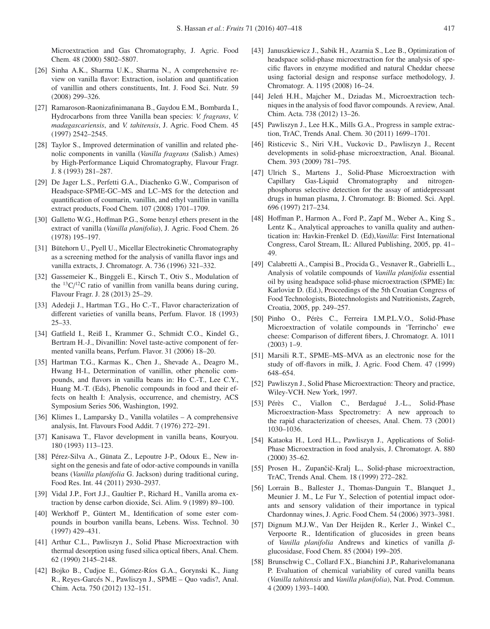Microextraction and Gas Chromatography, J. Agric. Food Chem. 48 (2000) 5802–5807.

- <span id="page-10-0"></span>[26] Sinha A.K., Sharma U.K., Sharma N., A comprehensive review on vanilla flavor: Extraction, isolation and quantification of vanillin and others constituents, Int. J. Food Sci. Nutr. 59 (2008) 299–326.
- <span id="page-10-1"></span>[27] Ramaroson-Raonizafinimanana B., Gaydou E.M., Bombarda I., Hydrocarbons from three Vanilla bean species: *V. fragrans*, *V. madagascariensis*, and *V. tahitensis*, J. Agric. Food Chem. 45 (1997) 2542–2545.
- <span id="page-10-2"></span>[28] Taylor S., Improved determination of vanillin and related phenolic components in vanilla (*Vanilla fragrans* (Salisb.) Ames) by High-Performance Liquid Chromatography, Flavour Fragr. J. 8 (1993) 281–287.
- <span id="page-10-3"></span>[29] De Jager L.S., Perfetti G.A., Diachenko G.W., Comparison of Headspace-SPME-GC–MS and LC–MS for the detection and quantification of coumarin, vanillin, and ethyl vanillin in vanilla extract products, Food Chem. 107 (2008) 1701–1709.
- <span id="page-10-4"></span>[30] Galletto W.G., Hoffman P.G., Some benzyl ethers present in the extract of vanilla (*Vanilla planifolia*), J. Agric. Food Chem. 26 (1978) 195–197.
- <span id="page-10-5"></span>[31] Bütehorn U., Pyell U., Micellar Electrokinetic Chromatography as a screening method for the analysis of vanilla flavor ings and vanilla extracts, J. Chromatogr. A. 736 (1996) 321–332.
- <span id="page-10-6"></span>[32] Gassemeier K., Binggeli E., Kirsch T., Otiv S., Modulation of the  ${}^{13}C/{}^{12}C$  ratio of vanillin from vanilla beans during curing, Flavour Fragr. J. 28 (2013) 25–29.
- <span id="page-10-7"></span>[33] Adedeji J., Hartman T.G., Ho C.-T., Flavor characterization of different varieties of vanilla beans, Perfum. Flavor. 18 (1993) 25–33.
- [34] Gatfield I., Reiß I., Krammer G., Schmidt C.O., Kindel G., Bertram H.-J., Divanillin: Novel taste-active component of fermented vanilla beans, Perfum. Flavor. 31 (2006) 18–20.
- [35] Hartman T.G., Karmas K., Chen J., Shevade A., Deagro M., Hwang H-I., Determination of vanillin, other phenolic compounds, and flavors in vanilla beans in: Ho C.-T., Lee C.Y., Huang M.-T. (Eds), Phenolic compounds in food and their effects on health I: Analysis, occurrence, and chemistry, ACS Symposium Series 506, Washington, 1992.
- <span id="page-10-24"></span>[36] Klimes I., Lamparsky D., Vanilla volatiles – A comprehensive analysis, Int. Flavours Food Addit. 7 (1976) 272–291.
- <span id="page-10-23"></span>[37] Kanisawa T., Flavor development in vanilla beans, Kouryou. 180 (1993) 113–123.
- <span id="page-10-21"></span>[38] Pérez-Silva A., Günata Z., Lepoutre J-P., Odoux E., New insight on the genesis and fate of odor-active compounds in vanilla beans (*Vanilla planifolia* G. Jackson) during traditional curing, Food Res. Int. 44 (2011) 2930–2937.
- [39] Vidal J.P., Fort J.J., Gaultier P., Richard H., Vanilla aroma extraction by dense carbon dioxide, Sci. Alim. 9 (1989) 89–100.
- <span id="page-10-8"></span>[40] Werkhoff P., Güntert M., Identification of some ester compounds in bourbon vanilla beans, Lebens. Wiss. Technol. 30 (1997) 429–431.
- <span id="page-10-9"></span>[41] Arthur C.L., Pawliszyn J., Solid Phase Microextraction with thermal desorption using fused silica optical fibers, Anal. Chem. 62 (1990) 2145–2148.
- [42] Bojko B., Cudjoe E., Gómez-Ríos G.A., Gorynski K., Jiang R., Reyes-Garcés N., Pawliszyn J., SPME – Quo vadis?, Anal. Chim. Acta. 750 (2012) 132–151.
- <span id="page-10-18"></span>[43] Januszkiewicz J., Sabik H., Azarnia S., Lee B., Optimization of headspace solid-phase microextraction for the analysis of specific flavors in enzyme modified and natural Cheddar cheese using factorial design and response surface methodology, J. Chromatogr. A. 1195 (2008) 16–24.
- [44] Jeleń H.H., Majcher M., Dziadas M., Microextraction techniques in the analysis of food flavor compounds. A review, Anal. Chim. Acta. 738 (2012) 13–26.
- [45] Pawliszyn J., Lee H.K., Mills G.A., Progress in sample extraction, TrAC, Trends Anal. Chem. 30 (2011) 1699–1701.
- [46] Risticevic S., Niri V.H., Vuckovic D., Pawliszyn J., Recent developments in solid-phase microextraction, Anal. Bioanal. Chem. 393 (2009) 781–795.
- <span id="page-10-10"></span>[47] Ulrich S., Martens J., Solid-Phase Microextraction with Capillary Gas-Liquid Chromatography and nitrogenphosphorus selective detection for the assay of antidepressant drugs in human plasma, J. Chromatogr. B: Biomed. Sci. Appl. 696 (1997) 217–234.
- <span id="page-10-11"></span>[48] Hoffman P., Harmon A., Ford P., Zapf M., Weber A., King S., Lentz K., Analytical approaches to vanilla quality and authentication in: Havkin-Frenkel D. (Ed),*Vanilla*: First International Congress, Carol Stream, IL: Allured Publishing, 2005, pp. 41– 49.
- <span id="page-10-12"></span>[49] Calabretti A., Campisi B., Procida G., Vesnaver R., Gabrielli L., Analysis of volatile compounds of *Vanilla planifolia* essential oil by using headspace solid-phase microextraction (SPME) In: Karloviæ D. (Ed.), Proceedings of the 5th Croatian Congress of Food Technologists, Biotechnologists and Nutritionists, Zagreb, Croatia, 2005, pp. 249–257.
- <span id="page-10-13"></span>[50] Pinho O., Pérès C., Ferreira I.M.P.L.V.O., Solid-Phase Microextraction of volatile compounds in 'Terrincho' ewe cheese: Comparison of different fibers, J. Chromatogr. A. 1011 (2003) 1–9.
- <span id="page-10-14"></span>[51] Marsili R.T., SPME–MS–MVA as an electronic nose for the study of off-flavors in milk, J. Agric. Food Chem. 47 (1999) 648–654.
- [52] Pawliszyn J., Solid Phase Microextraction: Theory and practice, Wiley-VCH. New York, 1997.
- <span id="page-10-15"></span>[53] Pérès C., Viallon C., Berdagué J.-L., Solid-Phase Microextraction-Mass Spectrometry: A new approach to the rapid characterization of cheeses, Anal. Chem. 73 (2001) 1030–1036.
- <span id="page-10-16"></span>[54] Kataoka H., Lord H.L., Pawliszyn J., Applications of Solid-Phase Microextraction in food analysis, J. Chromatogr. A. 880 (2000) 35–62.
- <span id="page-10-17"></span>[55] Prosen H., Zupančič-Kralj L., Solid-phase microextraction, TrAC, Trends Anal. Chem. 18 (1999) 272–282.
- <span id="page-10-19"></span>[56] Lorrain B., Ballester J., Thomas-Danguin T., Blanquet J., Meunier J. M., Le Fur Y., Selection of potential impact odorants and sensory validation of their importance in typical Chardonnay wines, J. Agric. Food Chem. 54 (2006) 3973–3981.
- <span id="page-10-20"></span>[57] Dignum M.J.W., Van Der Heijden R., Kerler J., Winkel C., Verpoorte R., Identification of glucosides in green beans of *Vanilla planifolia* Andrews and kinetics of vanilla βglucosidase, Food Chem. 85 (2004) 199–205.
- <span id="page-10-22"></span>[58] Brunschwig C., Collard F.X., Bianchini J.P., Raharivelomanana P. Evaluation of chemical variability of cured vanilla beans (*Vanilla tahitensis* and *Vanilla planifolia*), Nat. Prod. Commun. 4 (2009) 1393–1400.